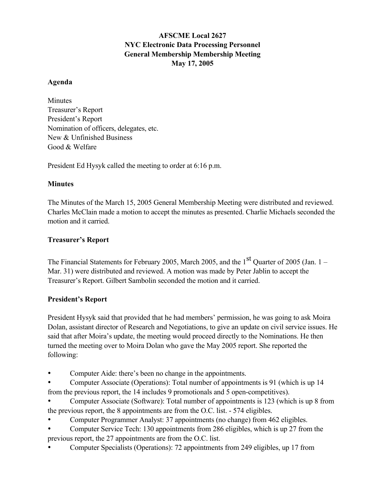# AFSCME Local 2627 NYC Electronic Data Processing Personnel General Membership Membership Meeting May 17, 2005

#### Agenda

Minutes Treasurer's Report President's Report Nomination of officers, delegates, etc. New & Unfinished Business Good & Welfare

President Ed Hysyk called the meeting to order at 6:16 p.m.

## **Minutes**

The Minutes of the March 15, 2005 General Membership Meeting were distributed and reviewed. Charles McClain made a motion to accept the minutes as presented. Charlie Michaels seconded the motion and it carried.

## Treasurer's Report

The Financial Statements for February 2005, March 2005, and the  $1<sup>st</sup>$  Quarter of 2005 (Jan. 1 – Mar. 31) were distributed and reviewed. A motion was made by Peter Jablin to accept the Treasurer's Report. Gilbert Sambolin seconded the motion and it carried.

### President's Report

President Hysyk said that provided that he had members' permission, he was going to ask Moira Dolan, assistant director of Research and Negotiations, to give an update on civil service issues. He said that after Moira's update, the meeting would proceed directly to the Nominations. He then turned the meeting over to Moira Dolan who gave the May 2005 report. She reported the following:

• Computer Aide: there's been no change in the appointments.

• Computer Associate (Operations): Total number of appointments is 91 (which is up 14 from the previous report, the 14 includes 9 promotionals and 5 open-competitives).

• Computer Associate (Software): Total number of appointments is 123 (which is up 8 from the previous report, the 8 appointments are from the O.C. list. - 574 eligibles.

• Computer Programmer Analyst: 37 appointments (no change) from 462 eligibles.

• Computer Service Tech: 130 appointments from 286 eligibles, which is up 27 from the previous report, the 27 appointments are from the O.C. list.

• Computer Specialists (Operations): 72 appointments from 249 eligibles, up 17 from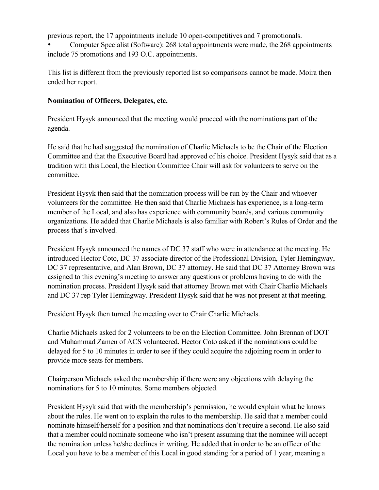previous report, the 17 appointments include 10 open-competitives and 7 promotionals.

• Computer Specialist (Software): 268 total appointments were made, the 268 appointments include 75 promotions and 193 O.C. appointments.

This list is different from the previously reported list so comparisons cannot be made. Moira then ended her report.

### Nomination of Officers, Delegates, etc.

President Hysyk announced that the meeting would proceed with the nominations part of the agenda.

He said that he had suggested the nomination of Charlie Michaels to be the Chair of the Election Committee and that the Executive Board had approved of his choice. President Hysyk said that as a tradition with this Local, the Election Committee Chair will ask for volunteers to serve on the committee.

President Hysyk then said that the nomination process will be run by the Chair and whoever volunteers for the committee. He then said that Charlie Michaels has experience, is a long-term member of the Local, and also has experience with community boards, and various community organizations. He added that Charlie Michaels is also familiar with Robert's Rules of Order and the process that's involved.

President Hysyk announced the names of DC 37 staff who were in attendance at the meeting. He introduced Hector Coto, DC 37 associate director of the Professional Division, Tyler Hemingway, DC 37 representative, and Alan Brown, DC 37 attorney. He said that DC 37 Attorney Brown was assigned to this evening's meeting to answer any questions or problems having to do with the nomination process. President Hysyk said that attorney Brown met with Chair Charlie Michaels and DC 37 rep Tyler Hemingway. President Hysyk said that he was not present at that meeting.

President Hysyk then turned the meeting over to Chair Charlie Michaels.

Charlie Michaels asked for 2 volunteers to be on the Election Committee. John Brennan of DOT and Muhammad Zamen of ACS volunteered. Hector Coto asked if the nominations could be delayed for 5 to 10 minutes in order to see if they could acquire the adjoining room in order to provide more seats for members.

Chairperson Michaels asked the membership if there were any objections with delaying the nominations for 5 to 10 minutes. Some members objected.

President Hysyk said that with the membership's permission, he would explain what he knows about the rules. He went on to explain the rules to the membership. He said that a member could nominate himself/herself for a position and that nominations don't require a second. He also said that a member could nominate someone who isn't present assuming that the nominee will accept the nomination unless he/she declines in writing. He added that in order to be an officer of the Local you have to be a member of this Local in good standing for a period of 1 year, meaning a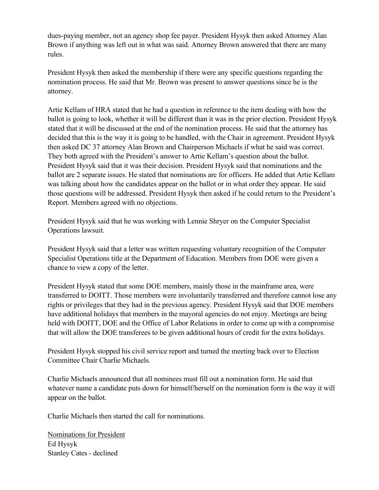dues-paying member, not an agency shop fee payer. President Hysyk then asked Attorney Alan Brown if anything was left out in what was said. Attorney Brown answered that there are many rules.

President Hysyk then asked the membership if there were any specific questions regarding the nomination process. He said that Mr. Brown was present to answer questions since he is the attorney.

Artie Kellam of HRA stated that he had a question in reference to the item dealing with how the ballot is going to look, whether it will be different than it was in the prior election. President Hysyk stated that it will be discussed at the end of the nomination process. He said that the attorney has decided that this is the way it is going to be handled, with the Chair in agreement. President Hysyk then asked DC 37 attorney Alan Brown and Chairperson Michaels if what he said was correct. They both agreed with the President's answer to Artie Kellam's question about the ballot. President Hysyk said that it was their decision. President Hysyk said that nominations and the ballot are 2 separate issues. He stated that nominations are for officers. He added that Artie Kellam was talking about how the candidates appear on the ballot or in what order they appear. He said those questions will be addressed. President Hysyk then asked if he could return to the President's Report. Members agreed with no objections.

President Hysyk said that he was working with Lennie Shryer on the Computer Specialist Operations lawsuit.

President Hysyk said that a letter was written requesting voluntary recognition of the Computer Specialist Operations title at the Department of Education. Members from DOE were given a chance to view a copy of the letter.

President Hysyk stated that some DOE members, mainly those in the mainframe area, were transferred to DOITT. Those members were involuntarily transferred and therefore cannot lose any rights or privileges that they had in the previous agency. President Hysyk said that DOE members have additional holidays that members in the mayoral agencies do not enjoy. Meetings are being held with DOITT, DOE and the Office of Labor Relations in order to come up with a compromise that will allow the DOE transferees to be given additional hours of credit for the extra holidays.

President Hysyk stopped his civil service report and turned the meeting back over to Election Committee Chair Charlie Michaels.

Charlie Michaels announced that all nominees must fill out a nomination form. He said that whatever name a candidate puts down for himself/herself on the nomination form is the way it will appear on the ballot.

Charlie Michaels then started the call for nominations.

Nominations for President Ed Hysyk Stanley Cates - declined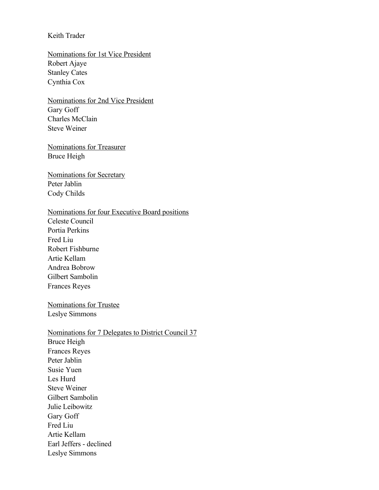### Keith Trader

Nominations for 1st Vice President Robert Ajaye Stanley Cates Cynthia Cox

Nominations for 2nd Vice President Gary Goff Charles McClain Steve Weiner

Nominations for Treasurer Bruce Heigh

Nominations for Secretary Peter Jablin Cody Childs

#### Nominations for four Executive Board positions

Celeste Council Portia Perkins Fred Liu Robert Fishburne Artie Kellam Andrea Bobrow Gilbert Sambolin Frances Reyes

Nominations for Trustee Leslye Simmons

Nominations for 7 Delegates to District Council 37 Bruce Heigh Frances Reyes Peter Jablin Susie Yuen Les Hurd Steve Weiner Gilbert Sambolin Julie Leibowitz Gary Goff Fred Liu Artie Kellam Earl Jeffers - declined Leslye Simmons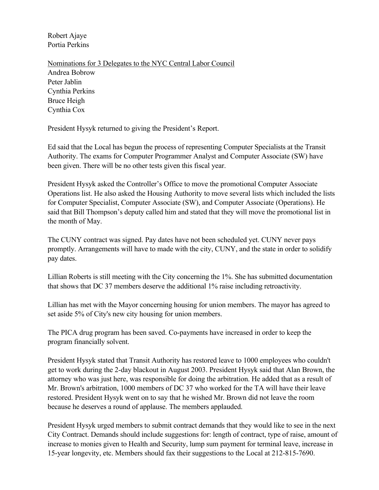Robert Ajaye Portia Perkins

Nominations for 3 Delegates to the NYC Central Labor Council Andrea Bobrow Peter Jablin Cynthia Perkins Bruce Heigh Cynthia Cox

President Hysyk returned to giving the President's Report.

Ed said that the Local has begun the process of representing Computer Specialists at the Transit Authority. The exams for Computer Programmer Analyst and Computer Associate (SW) have been given. There will be no other tests given this fiscal year.

President Hysyk asked the Controller's Office to move the promotional Computer Associate Operations list. He also asked the Housing Authority to move several lists which included the lists for Computer Specialist, Computer Associate (SW), and Computer Associate (Operations). He said that Bill Thompson's deputy called him and stated that they will move the promotional list in the month of May.

The CUNY contract was signed. Pay dates have not been scheduled yet. CUNY never pays promptly. Arrangements will have to made with the city, CUNY, and the state in order to solidify pay dates.

Lillian Roberts is still meeting with the City concerning the 1%. She has submitted documentation that shows that DC 37 members deserve the additional 1% raise including retroactivity.

Lillian has met with the Mayor concerning housing for union members. The mayor has agreed to set aside 5% of City's new city housing for union members.

The PICA drug program has been saved. Co-payments have increased in order to keep the program financially solvent.

President Hysyk stated that Transit Authority has restored leave to 1000 employees who couldn't get to work during the 2-day blackout in August 2003. President Hysyk said that Alan Brown, the attorney who was just here, was responsible for doing the arbitration. He added that as a result of Mr. Brown's arbitration, 1000 members of DC 37 who worked for the TA will have their leave restored. President Hysyk went on to say that he wished Mr. Brown did not leave the room because he deserves a round of applause. The members applauded.

President Hysyk urged members to submit contract demands that they would like to see in the next City Contract. Demands should include suggestions for: length of contract, type of raise, amount of increase to monies given to Health and Security, lump sum payment for terminal leave, increase in 15-year longevity, etc. Members should fax their suggestions to the Local at 212-815-7690.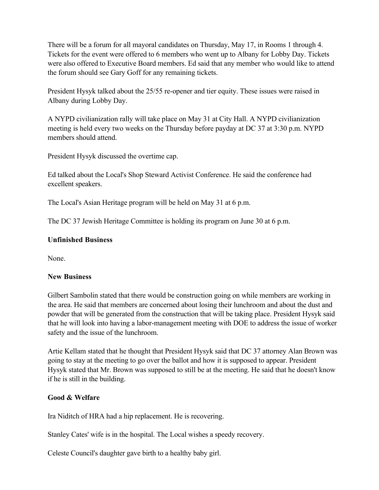There will be a forum for all mayoral candidates on Thursday, May 17, in Rooms 1 through 4. Tickets for the event were offered to 6 members who went up to Albany for Lobby Day. Tickets were also offered to Executive Board members. Ed said that any member who would like to attend the forum should see Gary Goff for any remaining tickets.

President Hysyk talked about the 25/55 re-opener and tier equity. These issues were raised in Albany during Lobby Day.

A NYPD civilianization rally will take place on May 31 at City Hall. A NYPD civilianization meeting is held every two weeks on the Thursday before payday at DC 37 at 3:30 p.m. NYPD members should attend.

President Hysyk discussed the overtime cap.

Ed talked about the Local's Shop Steward Activist Conference. He said the conference had excellent speakers.

The Local's Asian Heritage program will be held on May 31 at 6 p.m.

The DC 37 Jewish Heritage Committee is holding its program on June 30 at 6 p.m.

## Unfinished Business

None.

### New Business

Gilbert Sambolin stated that there would be construction going on while members are working in the area. He said that members are concerned about losing their lunchroom and about the dust and powder that will be generated from the construction that will be taking place. President Hysyk said that he will look into having a labor-management meeting with DOE to address the issue of worker safety and the issue of the lunchroom.

Artie Kellam stated that he thought that President Hysyk said that DC 37 attorney Alan Brown was going to stay at the meeting to go over the ballot and how it is supposed to appear. President Hysyk stated that Mr. Brown was supposed to still be at the meeting. He said that he doesn't know if he is still in the building.

### Good & Welfare

Ira Niditch of HRA had a hip replacement. He is recovering.

Stanley Cates' wife is in the hospital. The Local wishes a speedy recovery.

Celeste Council's daughter gave birth to a healthy baby girl.